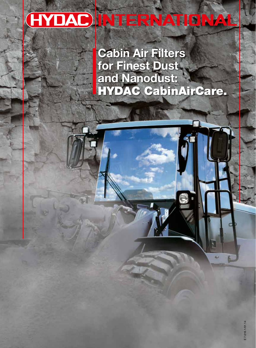# HYDAC INTERNATIONAL

**Cabin Air Filters** for Finest Dust and Nanodust: HYDAC CabinAirCare.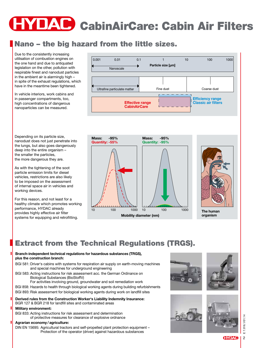# YDAC CabinAirCare: Cabin Air Filters

# Nano – the big hazard from the little sizes.

Due to the consistently increasing utilisation of combustion engines on the one hand and due to antiquated legislation on the other, pollution with respirable finest and nanodust particles in the ambient air is alarmingly high – in spite of the exhaust regulations, which have in the meantime been tightened.

In vehicle interiors, work cabins and in passenger compartments, too, high concentrations of dangerous nanoparticles can be measured.



Depending on its particle size, nanodust does not just penetrate into the lungs, but also goes dangerously deep into the entire organism – the smaller the particles, the more dangerous they are.

As with the tightening of the soot particle emission limits for diesel vehicles, restrictions are also likely to be imposed on the assessment of internal space air in vehicles and working devices.

For this reason, and not least for a healthy climate which promotes working performance, HYDAC already provides highly effective air filter systems for equipping and retrofitting.

10 100 1000 10 100 1000 **Mobility diameter (nm) Mass: -95% Quantity: -55% Mass: -95% Quantity: -95%**



**The human organism**

## Extract from the Technical Regulations (TRGS).

#### **Branch-independent technical regulations for hazardous substances (TRGS), plus the construction branch:**

- BGI 581: Driver's cabins with systems for respiration air supply on earth-moving machines and special machines for underground engineering
- BGI 583: Acting instructions for risk assessment acc. the German Ordinance on Biological Substances (BioStoffV)
	- For activities involving ground, groundwater and soil remediation work
- BGI 858: Hazards to health through biological working agents during building refurbishments BGI 893: Risk assessment for biological working agents during work on landfill sites

#### **Derived rules from the Construction Worker's Liability Indemnity Insurance:**  BGR 127 & BGR 218 for landfill sites and contaminated areas

#### **Military environment:**

BGI 833: Acting instructions for risk assessment and determination of protective measures for clearance of explosive ordnance

#### **Agrarian economy / agriculture:**

DIN EN 15695: Agricultural tractors and self-propelled plant protection equipment – Protection of the operator (driver) against hazardous substances







#### **HYDAC**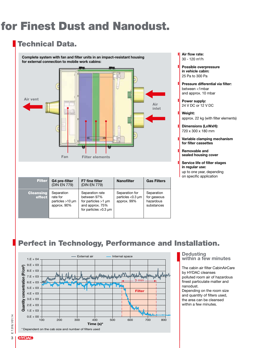# for Finest Dust and Nanodust.

### Technical Data.

**Complete system with fan and filter units in an impact-resistant housing for external connection to mobile work cabins:**



| <b>Filter</b>              | G4 pre-filter<br>(DIN EN 779)                                  | <b>F7 fine filter</b><br>(DIN EN 779)                                                                    | <b>Nanofilter</b>                                          | <b>Gas Filters</b>                                   |
|----------------------------|----------------------------------------------------------------|----------------------------------------------------------------------------------------------------------|------------------------------------------------------------|------------------------------------------------------|
| <b>Cleansing</b><br>effect | Separation<br>rate for<br>particles $>10 \mu m$<br>approx. 90% | Separation rate<br>between 97%<br>for particles $>1$ µm<br>and approx. 75%<br>for particles $>0.3 \mu m$ | Separation for<br>particles $<$ 0.3 $\mu$ m<br>approx. 99% | Separation<br>for gaseous<br>hazardous<br>substances |

- **Air flow rate:**  30 - 120 m3 /h
- **Possible overpressure in vehicle cabin:** 25 Pa to 300 Pa
- **Pressure differential via filter:**  between <1mbar and approx. 10 mbar
- **Power supply:**  24 V DC or 12 V DC
- **Weight:**  approx. 22 kg (with filter elements)
- **Dimensions (LxWxH):**  720 x 300 x 180 mm
- **Variable clamping mechanism for filter cassettes**
- **Removable and sealed housing cover**
- **Service life of filter stages in regular use:**  up to one year, depending on specific application

# Perfect in Technology, Performance and Installation.



#### **Dedusting within a few minutes**

The cabin air filter CabinAirCare by HYDAC cleanses polluted room air of hazardous finest particulate matter and nanodust.

Depending on the room size and quantity of filters used, the area can be cleansed within a few minutes.